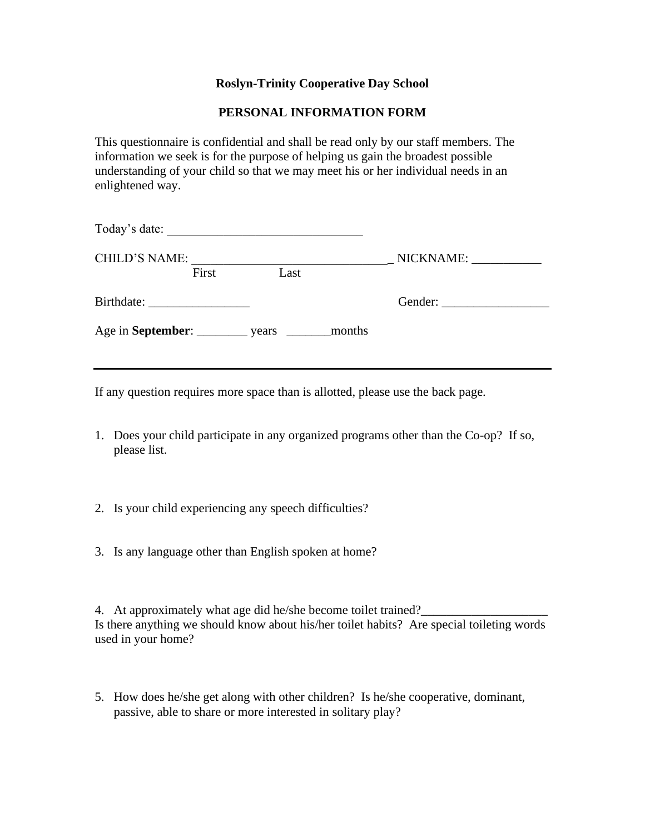## **Roslyn-Trinity Cooperative Day School**

## **PERSONAL INFORMATION FORM**

This questionnaire is confidential and shall be read only by our staff members. The information we seek is for the purpose of helping us gain the broadest possible understanding of your child so that we may meet his or her individual needs in an enlightened way.

| Today's date:        | <u> 1989 - Johann Stoff, skriuwer en fan it ferskearre fan it ferskearre fan it ferskearre fan it ferskearre fan i</u> |                     |
|----------------------|------------------------------------------------------------------------------------------------------------------------|---------------------|
| <b>CHILD'S NAME:</b> |                                                                                                                        | $\_$ NICKNAME: $\_$ |
| First                | Last                                                                                                                   |                     |
|                      |                                                                                                                        |                     |
|                      |                                                                                                                        |                     |
|                      |                                                                                                                        |                     |

If any question requires more space than is allotted, please use the back page.

- 1. Does your child participate in any organized programs other than the Co-op? If so, please list.
- 2. Is your child experiencing any speech difficulties?
- 3. Is any language other than English spoken at home?

4. At approximately what age did he/she become toilet trained? Is there anything we should know about his/her toilet habits? Are special toileting words used in your home?

5. How does he/she get along with other children? Is he/she cooperative, dominant, passive, able to share or more interested in solitary play?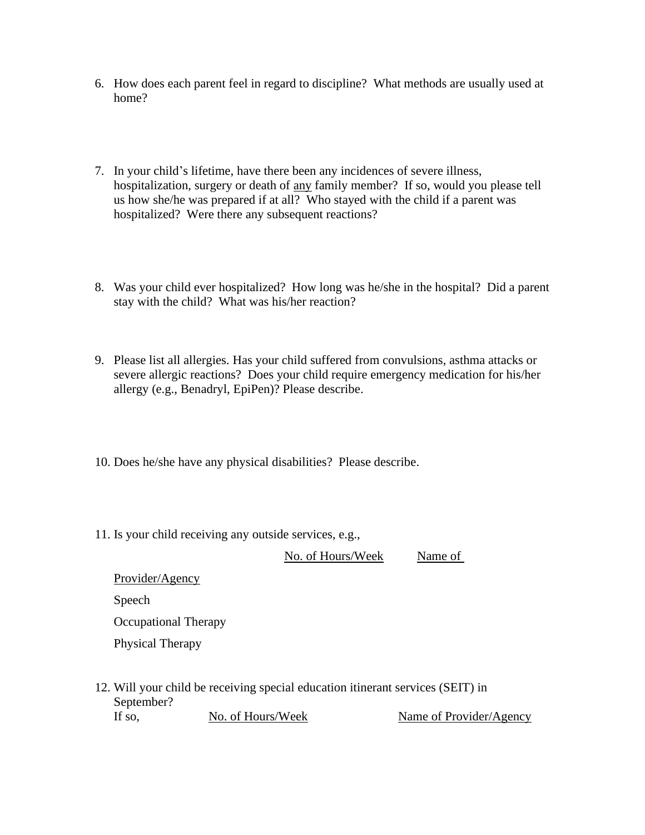- 6. How does each parent feel in regard to discipline? What methods are usually used at home?
- 7. In your child's lifetime, have there been any incidences of severe illness, hospitalization, surgery or death of any family member? If so, would you please tell us how she/he was prepared if at all? Who stayed with the child if a parent was hospitalized? Were there any subsequent reactions?
- 8. Was your child ever hospitalized? How long was he/she in the hospital? Did a parent stay with the child? What was his/her reaction?
- 9. Please list all allergies. Has your child suffered from convulsions, asthma attacks or severe allergic reactions? Does your child require emergency medication for his/her allergy (e.g., Benadryl, EpiPen)? Please describe.
- 10. Does he/she have any physical disabilities? Please describe.
- 11. Is your child receiving any outside services, e.g.,

No. of Hours/Week Name of

Provider/Agency Speech Occupational Therapy Physical Therapy

12. Will your child be receiving special education itinerant services (SEIT) in September? If so, No. of Hours/Week Name of Provider/Agency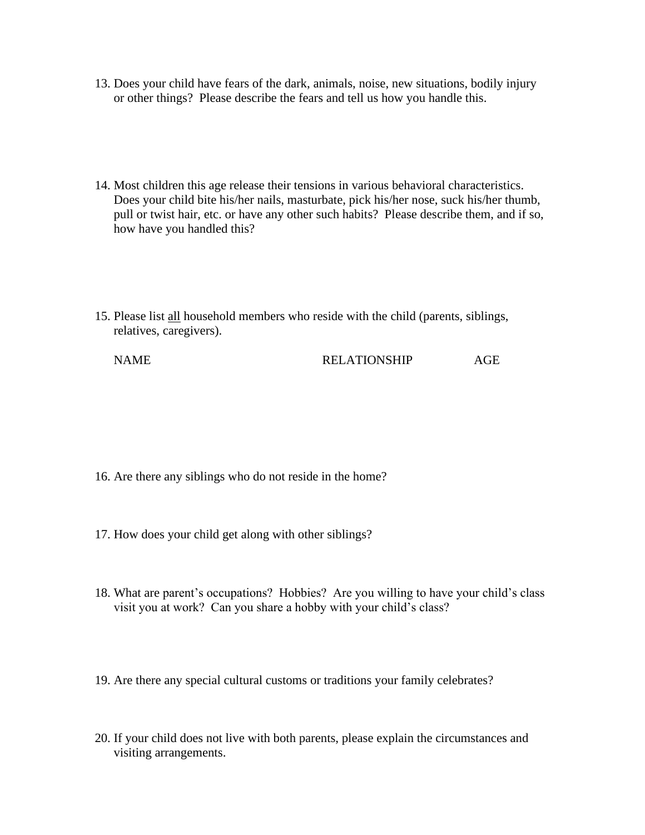- 13. Does your child have fears of the dark, animals, noise, new situations, bodily injury or other things? Please describe the fears and tell us how you handle this.
- 14. Most children this age release their tensions in various behavioral characteristics. Does your child bite his/her nails, masturbate, pick his/her nose, suck his/her thumb, pull or twist hair, etc. or have any other such habits? Please describe them, and if so, how have you handled this?
- 15. Please list all household members who reside with the child (parents, siblings, relatives, caregivers).

- 16. Are there any siblings who do not reside in the home?
- 17. How does your child get along with other siblings?
- 18. What are parent's occupations? Hobbies? Are you willing to have your child's class visit you at work? Can you share a hobby with your child's class?
- 19. Are there any special cultural customs or traditions your family celebrates?
- 20. If your child does not live with both parents, please explain the circumstances and visiting arrangements.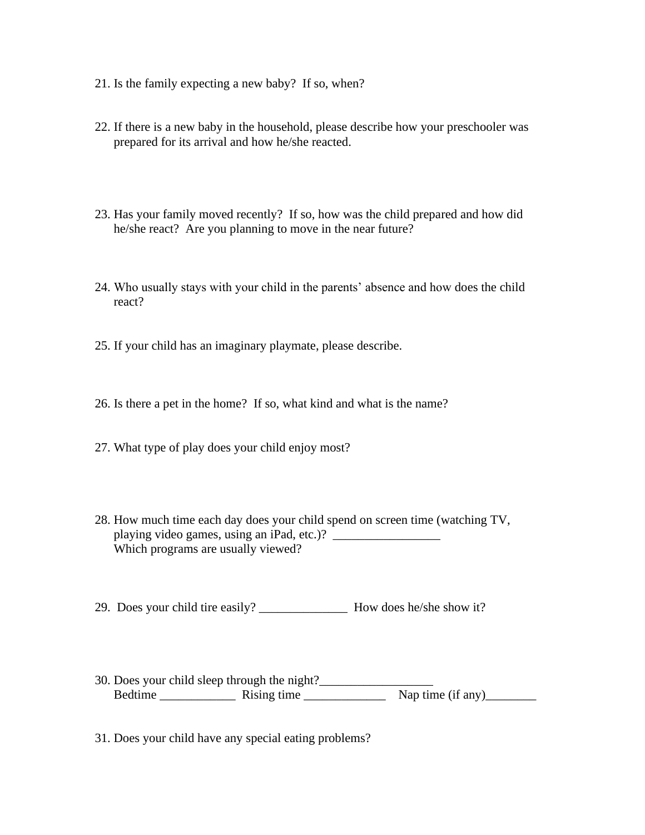- 21. Is the family expecting a new baby? If so, when?
- 22. If there is a new baby in the household, please describe how your preschooler was prepared for its arrival and how he/she reacted.
- 23. Has your family moved recently? If so, how was the child prepared and how did he/she react? Are you planning to move in the near future?
- 24. Who usually stays with your child in the parents' absence and how does the child react?
- 25. If your child has an imaginary playmate, please describe.
- 26. Is there a pet in the home? If so, what kind and what is the name?
- 27. What type of play does your child enjoy most?
- 28. How much time each day does your child spend on screen time (watching TV, playing video games, using an iPad, etc.)? Which programs are usually viewed?
- 29. Does your child tire easily? How does he/she show it?
- 30. Does your child sleep through the night?\_\_\_\_\_\_\_\_\_\_\_\_\_\_\_\_\_\_ Bedtime  $\frac{1}{\sqrt{1-\frac{1}{2}}\sqrt{1-\frac{1}{2}}\sqrt{1-\frac{1}{2}}\sqrt{1-\frac{1}{2}}\sqrt{1-\frac{1}{2}}\sqrt{1-\frac{1}{2}}\sqrt{1-\frac{1}{2}}\sqrt{1-\frac{1}{2}}\sqrt{1-\frac{1}{2}}\sqrt{1-\frac{1}{2}}\sqrt{1-\frac{1}{2}}\sqrt{1-\frac{1}{2}}\sqrt{1-\frac{1}{2}}\sqrt{1-\frac{1}{2}}\sqrt{1-\frac{1}{2}}\sqrt{1-\frac{1}{2}}\sqrt{1-\frac{1}{2}}\sqrt{1-\frac{1}{2}}\sqrt{1-\frac{1}{$
- 31. Does your child have any special eating problems?